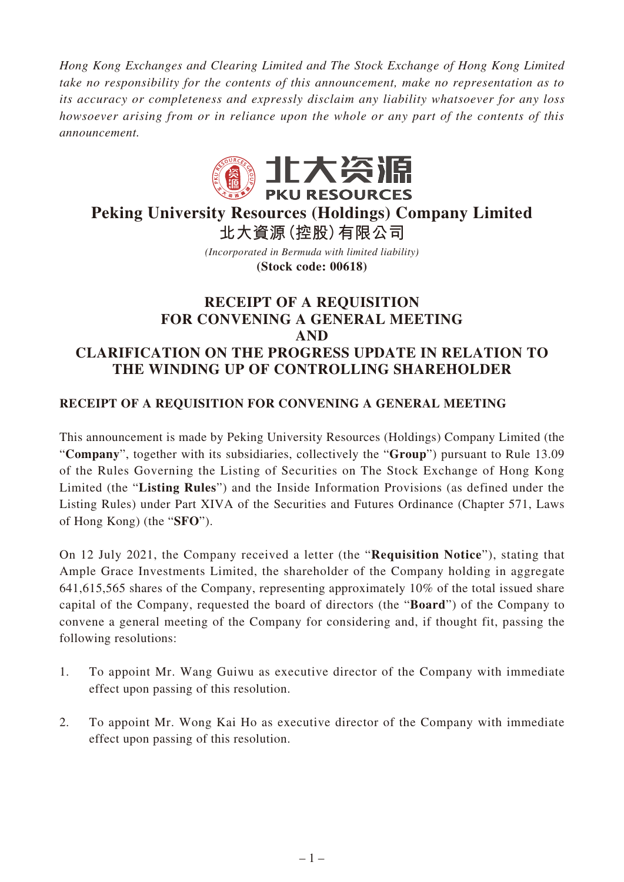*Hong Kong Exchanges and Clearing Limited and The Stock Exchange of Hong Kong Limited take no responsibility for the contents of this announcement, make no representation as to its accuracy or completeness and expressly disclaim any liability whatsoever for any loss howsoever arising from or in reliance upon the whole or any part of the contents of this announcement.*



# **Peking University Resources (Holdings) Company Limited 北大資源(控股)有限公司**

*(Incorporated in Bermuda with limited liability)* **(Stock code: 00618)**

## **RECEIPT OF A REQUISITION FOR CONVENING A GENERAL MEETING AND CLARIFICATION ON THE PROGRESS UPDATE IN RELATION TO THE WINDING UP OF CONTROLLING SHAREHOLDER**

### **RECEIPT OF A REQUISITION FOR CONVENING A GENERAL MEETING**

This announcement is made by Peking University Resources (Holdings) Company Limited (the "**Company**", together with its subsidiaries, collectively the "**Group**") pursuant to Rule 13.09 of the Rules Governing the Listing of Securities on The Stock Exchange of Hong Kong Limited (the "**Listing Rules**") and the Inside Information Provisions (as defined under the Listing Rules) under Part XIVA of the Securities and Futures Ordinance (Chapter 571, Laws of Hong Kong) (the "**SFO**").

On 12 July 2021, the Company received a letter (the "**Requisition Notice**"), stating that Ample Grace Investments Limited, the shareholder of the Company holding in aggregate 641,615,565 shares of the Company, representing approximately 10% of the total issued share capital of the Company, requested the board of directors (the "**Board**") of the Company to convene a general meeting of the Company for considering and, if thought fit, passing the following resolutions:

- 1. To appoint Mr. Wang Guiwu as executive director of the Company with immediate effect upon passing of this resolution.
- 2. To appoint Mr. Wong Kai Ho as executive director of the Company with immediate effect upon passing of this resolution.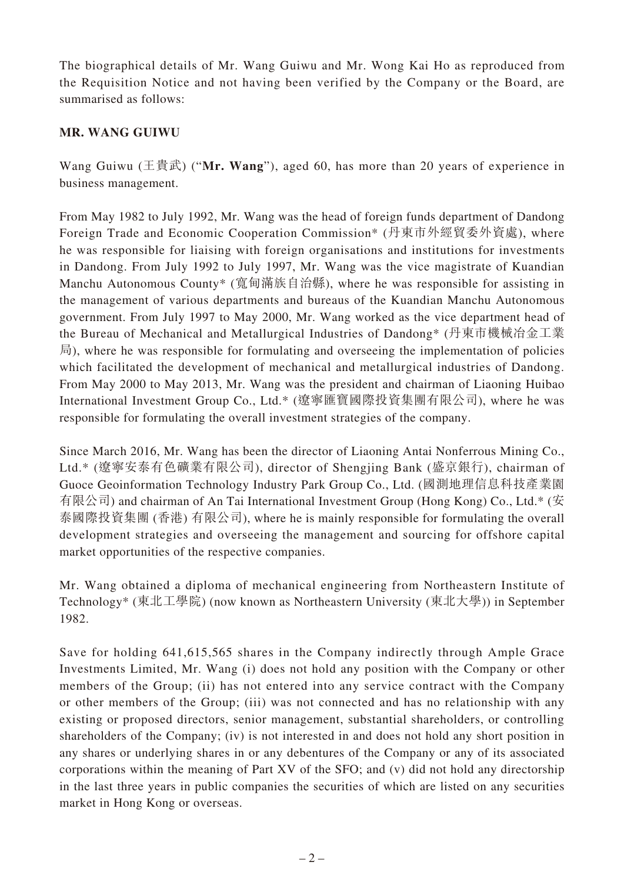The biographical details of Mr. Wang Guiwu and Mr. Wong Kai Ho as reproduced from the Requisition Notice and not having been verified by the Company or the Board, are summarised as follows:

#### **MR. WANG GUIWU**

Wang Guiwu (王貴武) ("**Mr. Wang**"), aged 60, has more than 20 years of experience in business management.

From May 1982 to July 1992, Mr. Wang was the head of foreign funds department of Dandong Foreign Trade and Economic Cooperation Commission\* (丹東市外經貿委外資處), where he was responsible for liaising with foreign organisations and institutions for investments in Dandong. From July 1992 to July 1997, Mr. Wang was the vice magistrate of Kuandian Manchu Autonomous County\* (寬甸滿族自治縣), where he was responsible for assisting in the management of various departments and bureaus of the Kuandian Manchu Autonomous government. From July 1997 to May 2000, Mr. Wang worked as the vice department head of the Bureau of Mechanical and Metallurgical Industries of Dandong\* (丹東市機械冶金工業 局), where he was responsible for formulating and overseeing the implementation of policies which facilitated the development of mechanical and metallurgical industries of Dandong. From May 2000 to May 2013, Mr. Wang was the president and chairman of Liaoning Huibao International Investment Group Co., Ltd.\* (遼寧匯寶國際投資集團有限公司), where he was responsible for formulating the overall investment strategies of the company.

Since March 2016, Mr. Wang has been the director of Liaoning Antai Nonferrous Mining Co., Ltd.\* (遼寧安泰有色礦業有限公司), director of Shengjing Bank (盛京銀行), chairman of Guoce Geoinformation Technology Industry Park Group Co., Ltd. (國測地理信息科技產業園 有限公司) and chairman of An Tai International Investment Group (Hong Kong) Co., Ltd.\* (安 泰國際投資集團 (香港) 有限公司), where he is mainly responsible for formulating the overall development strategies and overseeing the management and sourcing for offshore capital market opportunities of the respective companies.

Mr. Wang obtained a diploma of mechanical engineering from Northeastern Institute of Technology\* (東北工學院) (now known as Northeastern University (東北大學)) in September 1982.

Save for holding 641,615,565 shares in the Company indirectly through Ample Grace Investments Limited, Mr. Wang (i) does not hold any position with the Company or other members of the Group; (ii) has not entered into any service contract with the Company or other members of the Group; (iii) was not connected and has no relationship with any existing or proposed directors, senior management, substantial shareholders, or controlling shareholders of the Company; (iv) is not interested in and does not hold any short position in any shares or underlying shares in or any debentures of the Company or any of its associated corporations within the meaning of Part XV of the SFO; and (v) did not hold any directorship in the last three years in public companies the securities of which are listed on any securities market in Hong Kong or overseas.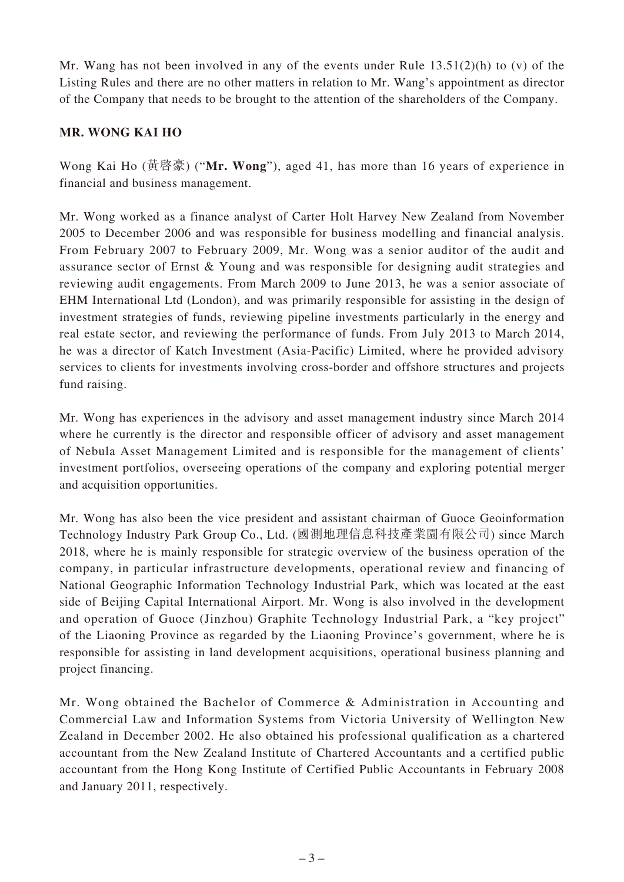Mr. Wang has not been involved in any of the events under Rule 13.51(2)(h) to (v) of the Listing Rules and there are no other matters in relation to Mr. Wang's appointment as director of the Company that needs to be brought to the attention of the shareholders of the Company.

#### **MR. WONG KAI HO**

Wong Kai Ho (黃啓豪) ("**Mr. Wong**"), aged 41, has more than 16 years of experience in financial and business management.

Mr. Wong worked as a finance analyst of Carter Holt Harvey New Zealand from November 2005 to December 2006 and was responsible for business modelling and financial analysis. From February 2007 to February 2009, Mr. Wong was a senior auditor of the audit and assurance sector of Ernst & Young and was responsible for designing audit strategies and reviewing audit engagements. From March 2009 to June 2013, he was a senior associate of EHM International Ltd (London), and was primarily responsible for assisting in the design of investment strategies of funds, reviewing pipeline investments particularly in the energy and real estate sector, and reviewing the performance of funds. From July 2013 to March 2014, he was a director of Katch Investment (Asia-Pacific) Limited, where he provided advisory services to clients for investments involving cross-border and offshore structures and projects fund raising.

Mr. Wong has experiences in the advisory and asset management industry since March 2014 where he currently is the director and responsible officer of advisory and asset management of Nebula Asset Management Limited and is responsible for the management of clients' investment portfolios, overseeing operations of the company and exploring potential merger and acquisition opportunities.

Mr. Wong has also been the vice president and assistant chairman of Guoce Geoinformation Technology Industry Park Group Co., Ltd. (國測地理信息科技產業園有限公司) since March 2018, where he is mainly responsible for strategic overview of the business operation of the company, in particular infrastructure developments, operational review and financing of National Geographic Information Technology Industrial Park, which was located at the east side of Beijing Capital International Airport. Mr. Wong is also involved in the development and operation of Guoce (Jinzhou) Graphite Technology Industrial Park, a "key project" of the Liaoning Province as regarded by the Liaoning Province's government, where he is responsible for assisting in land development acquisitions, operational business planning and project financing.

Mr. Wong obtained the Bachelor of Commerce & Administration in Accounting and Commercial Law and Information Systems from Victoria University of Wellington New Zealand in December 2002. He also obtained his professional qualification as a chartered accountant from the New Zealand Institute of Chartered Accountants and a certified public accountant from the Hong Kong Institute of Certified Public Accountants in February 2008 and January 2011, respectively.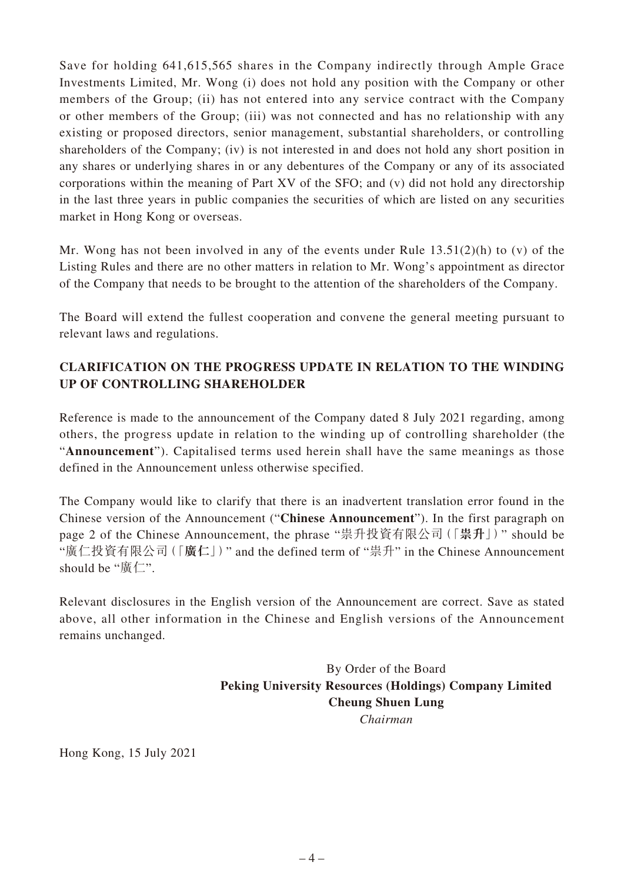Save for holding 641,615,565 shares in the Company indirectly through Ample Grace Investments Limited, Mr. Wong (i) does not hold any position with the Company or other members of the Group; (ii) has not entered into any service contract with the Company or other members of the Group; (iii) was not connected and has no relationship with any existing or proposed directors, senior management, substantial shareholders, or controlling shareholders of the Company; (iv) is not interested in and does not hold any short position in any shares or underlying shares in or any debentures of the Company or any of its associated corporations within the meaning of Part XV of the SFO; and (v) did not hold any directorship in the last three years in public companies the securities of which are listed on any securities market in Hong Kong or overseas.

Mr. Wong has not been involved in any of the events under Rule 13.51(2)(h) to (v) of the Listing Rules and there are no other matters in relation to Mr. Wong's appointment as director of the Company that needs to be brought to the attention of the shareholders of the Company.

The Board will extend the fullest cooperation and convene the general meeting pursuant to relevant laws and regulations.

### **CLARIFICATION ON THE PROGRESS UPDATE IN RELATION TO THE WINDING UP OF CONTROLLING SHAREHOLDER**

Reference is made to the announcement of the Company dated 8 July 2021 regarding, among others, the progress update in relation to the winding up of controlling shareholder (the "**Announcement**"). Capitalised terms used herein shall have the same meanings as those defined in the Announcement unless otherwise specified.

The Company would like to clarify that there is an inadvertent translation error found in the Chinese version of the Announcement ("**Chinese Announcement**"). In the first paragraph on page 2 of the Chinese Announcement, the phrase "祟升投資有限公司(「**祟升**」)" should be "廣仁投資有限公司(「**廣仁**」)" and the defined term of "祟升" in the Chinese Announcement should be "廣仁".

Relevant disclosures in the English version of the Announcement are correct. Save as stated above, all other information in the Chinese and English versions of the Announcement remains unchanged.

> By Order of the Board **Peking University Resources (Holdings) Company Limited Cheung Shuen Lung** *Chairman*

Hong Kong, 15 July 2021